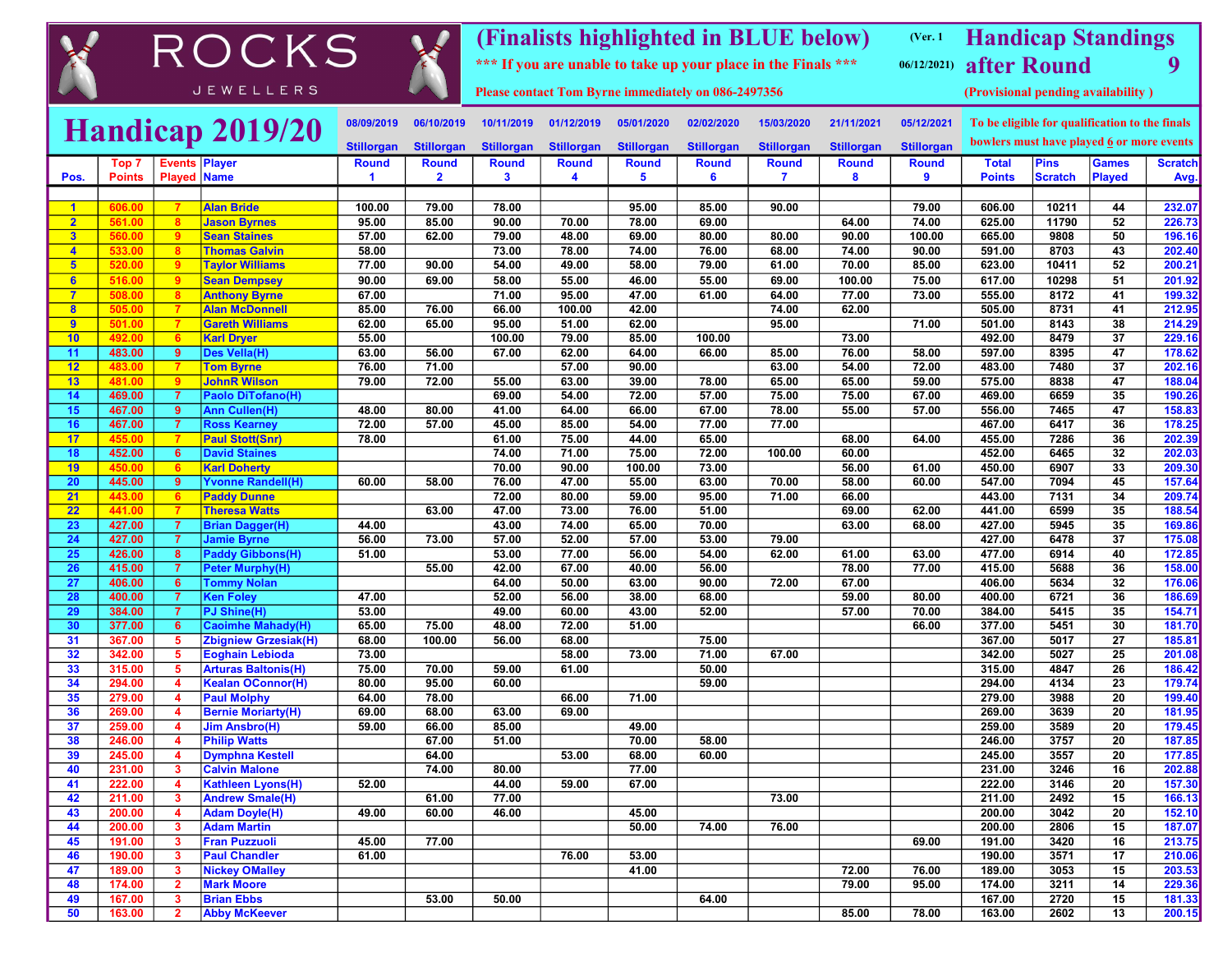|                                                                                                               |                  |                         | ROCKS                                                 |                      |                         |                   |                   |                   |                   | (Finalists highlighted in BLUE below)<br>*** If you are unable to take up your place in the Finals *** |                   | (Ver. 1)<br>06/12/2021 | <b>Handicap Standings</b><br>after Round       |                |                 | 9                |
|---------------------------------------------------------------------------------------------------------------|------------------|-------------------------|-------------------------------------------------------|----------------------|-------------------------|-------------------|-------------------|-------------------|-------------------|--------------------------------------------------------------------------------------------------------|-------------------|------------------------|------------------------------------------------|----------------|-----------------|------------------|
| <b>JEWELLERS</b><br>Please contact Tom Byrne immediately on 086-2497356<br>(Provisional pending availability) |                  |                         |                                                       |                      |                         |                   |                   |                   |                   |                                                                                                        |                   |                        |                                                |                |                 |                  |
|                                                                                                               |                  |                         | Handicap 2019/20                                      | 08/09/2019           | 06/10/2019              | 10/11/2019        | 01/12/2019        | 05/01/2020        | 02/02/2020        | 15/03/2020                                                                                             | 21/11/2021        | 05/12/2021             | To be eligible for qualification to the finals |                |                 |                  |
|                                                                                                               |                  |                         |                                                       | <b>Stillorgan</b>    | <b>Stillorgan</b>       | <b>Stillorgan</b> | <b>Stillorgan</b> | <b>Stillorgan</b> | <b>Stillorgan</b> | <b>Stillorgan</b>                                                                                      | <b>Stillorgan</b> | <b>Stillorgan</b>      | bowlers must have played $6$ or more events    |                |                 |                  |
|                                                                                                               | Top 7            | <b>Events Player</b>    |                                                       | <b>Round</b>         | <b>Round</b>            | <b>Round</b>      | <b>Round</b>      | <b>Round</b>      | <b>Round</b>      | <b>Round</b>                                                                                           | <b>Round</b>      | <b>Round</b>           | <b>Total</b>                                   | <b>Pins</b>    | <b>Games</b>    | <b>Scratch</b>   |
| Pos.                                                                                                          | <b>Points</b>    | <b>Played Name</b>      |                                                       | $\blacktriangleleft$ | $\overline{\mathbf{2}}$ | 3                 | 4                 | 5                 | 6                 | 7                                                                                                      | 8                 | 9                      | <b>Points</b>                                  | <b>Scratch</b> | <b>Played</b>   | Avg.             |
| $\blacktriangleleft$                                                                                          | 606.00           | -7                      | <b>Alan Bride</b>                                     | 100.00               | 79.00                   | 78.00             |                   | 95.00             | 85.00             | 90.00                                                                                                  |                   | 79.00                  | 606.00                                         | 10211          | 44              | 232.07           |
| $\overline{2}$                                                                                                | 561.00           | 8                       | <b>Jason Byrnes</b>                                   | 95.00                | 85.00                   | 90.00             | 70.00             | 78.00             | 69.00             |                                                                                                        | 64.00             | 74.00                  | 625.00                                         | 11790          | 52              | 226.73           |
| 3                                                                                                             | 560.00           | 9                       | <b>Sean Staines</b>                                   | 57.00                | 62.00                   | 79.00             | 48.00             | 69.00             | 80.00             | 80.00                                                                                                  | 90.00             | 100.00                 | 665.00                                         | 9808           | 50              | 196.16           |
| $\overline{4}$                                                                                                | 533.00           | -8                      | <b>Thomas Galvin</b>                                  | 58.00                |                         | 73.00             | 78.00             | 74.00             | 76.00             | 68.00                                                                                                  | 74.00             | 90.00                  | 591.00                                         | 8703           | 43              | 202.40           |
| 5 <sub>5</sub>                                                                                                | 520.00           | -9                      | <b>Taylor Williams</b>                                | 77.00                | 90.00                   | 54.00             | 49.00             | 58.00             | 79.00             | 61.00                                                                                                  | 70.00             | 85.00                  | 623.00                                         | 10411          | 52              | 200.21           |
| 6                                                                                                             | 516.00           | -9                      | <b>Sean Dempsey</b>                                   | 90.00                | 69.00                   | 58.00             | 55.00             | 46.00             | 55.00             | 69.00                                                                                                  | 100.00            | 75.00                  | 617.00                                         | 10298          | 51              | 201.92           |
| $\overline{7}$                                                                                                | 508.00           | 8                       | <b>Anthony Byrne</b>                                  | 67.00                |                         | 71.00             | 95.00             | 47.00             | 61.00             | 64.00                                                                                                  | 77.00             | 73.00                  | 555.00                                         | 8172           | 41              | 199.32           |
| 8                                                                                                             | 505.00           | -7<br>-7                | <b>Alan McDonnell</b>                                 | 85.00                | 76.00                   | 66.00             | 100.00            | 42.00             |                   | 74.00<br>95.00                                                                                         | 62.00             |                        | 505.00                                         | 8731           | 41              | 212.95           |
| 9<br>10                                                                                                       | 501.00<br>492.00 | 6                       | <b>Gareth Williams</b><br><b>Karl Dryer</b>           | 62.00<br>55.00       | 65.00                   | 95.00<br>100.00   | 51.00<br>79.00    | 62.00<br>85.00    | 100.00            |                                                                                                        | 73.00             | 71.00                  | 501.00<br>492.00                               | 8143<br>8479   | 38<br>37        | 214.29<br>229.16 |
| 11                                                                                                            | 483.00           | 9                       | Des Vella(H)                                          | 63.00                | 56.00                   | 67.00             | 62.00             | 64.00             | 66.00             | 85.00                                                                                                  | 76.00             | 58.00                  | 597.00                                         | 8395           | 47              | 178.62           |
| 12                                                                                                            | 483.00           | -7                      | <b>Tom Byrne</b>                                      | 76.00                | 71.00                   |                   | 57.00             | 90.00             |                   | 63.00                                                                                                  | 54.00             | 72.00                  | 483.00                                         | 7480           | $\overline{37}$ | 202.16           |
| 13                                                                                                            | 481.00           | 9                       | <b>JohnR Wilson</b>                                   | 79.00                | 72.00                   | 55.00             | 63.00             | 39.00             | 78.00             | 65.00                                                                                                  | 65.00             | 59.00                  | 575.00                                         | 8838           | 47              | 188.04           |
| 14                                                                                                            | 469.00           | -7                      | <b>Paolo DiTofano(H)</b>                              |                      |                         | 69.00             | 54.00             | 72.00             | 57.00             | 75.00                                                                                                  | 75.00             | 67.00                  | 469.00                                         | 6659           | 35              | 190.26           |
| 15                                                                                                            | 467.00           | 9                       | Ann Cullen(H)                                         | 48.00                | 80.00                   | 41.00             | 64.00             | 66.00             | 67.00             | 78.00                                                                                                  | 55.00             | 57.00                  | 556.00                                         | 7465           | 47              | 158.83           |
| 16                                                                                                            | 467.00           | $\overline{7}$          | <b>Ross Kearney</b>                                   | 72.00                | 57.00                   | 45.00             | 85.00             | 54.00             | 77.00             | 77.00                                                                                                  |                   |                        | 467.00                                         | 6417           | 36              | 178.25           |
| 17                                                                                                            | 455.00           | -7                      | <b>Paul Stott(Snr)</b>                                | 78.00                |                         | 61.00             | 75.00             | 44.00             | 65.00             |                                                                                                        | 68.00             | 64.00                  | 455.00                                         | 7286           | 36              | 202.39           |
| 18                                                                                                            | 452.00           | 6                       | <b>David Staines</b>                                  |                      |                         | 74.00             | 71.00             | 75.00             | 72.00             | 100.00                                                                                                 | 60.00             |                        | 452.00                                         | 6465           | 32              | 202.03           |
| 19                                                                                                            | 450.00           | 6                       | <b>Karl Doherty</b>                                   |                      |                         | 70.00             | 90.00             | 100.00            | 73.00             |                                                                                                        | 56.00             | 61.00                  | 450.00                                         | 6907           | 33              | 209.30           |
| 20<br>21                                                                                                      | 445.00<br>443.00 | 9<br>6                  | <b>Yvonne Randell(H)</b><br><b>Paddy Dunne</b>        | 60.00                | 58.00                   | 76.00<br>72.00    | 47.00<br>80.00    | 55.00<br>59.00    | 63.00<br>95.00    | 70.00<br>71.00                                                                                         | 58.00<br>66.00    | 60.00                  | 547.00<br>443.00                               | 7094<br>7131   | 45<br>34        | 157.64<br>209.74 |
| 22                                                                                                            | 441.00           |                         | <b>Theresa Watts</b>                                  |                      | 63.00                   | 47.00             | 73.00             | 76.00             | 51.00             |                                                                                                        | 69.00             | 62.00                  | 441.00                                         | 6599           | 35              | 188.54           |
| 23                                                                                                            | 427.00           | -7                      | <b>Brian Dagger(H)</b>                                | 44.00                |                         | 43.00             | 74.00             | 65.00             | 70.00             |                                                                                                        | 63.00             | 68.00                  | 427.00                                         | 5945           | 35              | 169.86           |
| 24                                                                                                            | 427.00           | $\overline{7}$          | <b>Jamie Byrne</b>                                    | 56.00                | 73.00                   | 57.00             | 52.00             | 57.00             | 53.00             | 79.00                                                                                                  |                   |                        | 427.00                                         | 6478           | 37              | 175.08           |
| 25                                                                                                            | 426.00           | 8                       | <b>Paddy Gibbons(H)</b>                               | 51.00                |                         | 53.00             | 77.00             | 56.00             | 54.00             | 62.00                                                                                                  | 61.00             | 63.00                  | 477.00                                         | 6914           | 40              | 172.85           |
| 26                                                                                                            | 415.00           | $\overline{7}$          | <b>Peter Murphy(H)</b>                                |                      | 55.00                   | 42.00             | 67.00             | 40.00             | 56.00             |                                                                                                        | 78.00             | 77.00                  | 415.00                                         | 5688           | 36              | 158.00           |
| 27                                                                                                            | 406.00           | 6                       | <b>Tommy Nolan</b>                                    |                      |                         | 64.00             | 50.00             | 63.00             | 90.00             | 72.00                                                                                                  | 67.00             |                        | 406.00                                         | 5634           | 32              | 176.06           |
| 28                                                                                                            | 400.00           | $\overline{7}$          | <b>Ken Foley</b>                                      | 47.00                |                         | 52.00             | 56.00             | 38.00             | 68.00             |                                                                                                        | 59.00             | 80.00                  | 400.00                                         | 6721           | 36              | 186.69           |
| 29                                                                                                            | 384.00           | $\overline{7}$          | <b>PJ Shine(H)</b>                                    | 53.00                |                         | 49.00             | 60.00             | 43.00             | 52.00             |                                                                                                        | 57.00             | 70.00                  | 384.00                                         | 5415           | 35              | 154.71           |
| 30<br>31                                                                                                      | 377.00<br>367.00 | $6\phantom{1}$<br>5     | <b>Caoimhe Mahady(H)</b>                              | 65.00<br>68.00       | 75.00<br>100.00         | 48.00<br>56.00    | 72.00<br>68.00    | 51.00             | 75.00             |                                                                                                        |                   | 66.00                  | 377.00<br>367.00                               | 5451<br>5017   | 30<br>27        | 181.70<br>185.81 |
| 32                                                                                                            | 342.00           | -5                      | <b>Zbigniew Grzesiak(H)</b><br><b>Eoghain Lebioda</b> | 73.00                |                         |                   | 58.00             | 73.00             | 71.00             | 67.00                                                                                                  |                   |                        | 342.00                                         | 5027           | 25              | 201.08           |
| 33                                                                                                            | 315.00           | 5                       | <b>Arturas Baltonis(H)</b>                            | 75.00                | 70.00                   | 59.00             | 61.00             |                   | 50.00             |                                                                                                        |                   |                        | 315.00                                         | 4847           | 26              | 186.42           |
| 34                                                                                                            | 294.00           | $\boldsymbol{4}$        | <b>Kealan OConnor(H)</b>                              | 80.00                | 95.00                   | 60.00             |                   |                   | 59.00             |                                                                                                        |                   |                        | 294.00                                         | 4134           | 23              | 179.74           |
| 35                                                                                                            | 279.00           | $\overline{\mathbf{4}}$ | <b>Paul Molphy</b>                                    | 64.00                | 78.00                   |                   | 66.00             | 71.00             |                   |                                                                                                        |                   |                        | 279.00                                         | 3988           | 20              | 199.40           |
| 36                                                                                                            | 269.00           | $\overline{\mathbf{4}}$ | <b>Bernie Moriarty(H)</b>                             | 69.00                | 68.00                   | 63.00             | 69.00             |                   |                   |                                                                                                        |                   |                        | 269.00                                         | 3639           | 20              | 181.95           |
| 37                                                                                                            | 259.00           | $\overline{\mathbf{4}}$ | <b>Jim Ansbro(H)</b>                                  | 59.00                | 66.00                   | 85.00             |                   | 49.00             |                   |                                                                                                        |                   |                        | 259.00                                         | 3589           | 20              | 179.45           |
| 38                                                                                                            | 246.00           | $\overline{\mathbf{4}}$ | <b>Philip Watts</b>                                   |                      | 67.00                   | 51.00             |                   | 70.00             | 58.00             |                                                                                                        |                   |                        | 246.00                                         | 3757           | 20              | 187.85           |
| 39<br>40                                                                                                      | 245.00<br>231.00 | $\overline{4}$<br>3     | <b>Dymphna Kestell</b><br><b>Calvin Malone</b>        |                      | 64.00<br>74.00          | 80.00             | 53.00             | 68.00<br>77.00    | 60.00             |                                                                                                        |                   |                        | 245.00<br>231.00                               | 3557<br>3246   | 20<br>16        | 177.85<br>202.88 |
| 41                                                                                                            | 222.00           | $\overline{\mathbf{4}}$ | <b>Kathleen Lyons(H)</b>                              | 52.00                |                         | 44.00             | 59.00             | 67.00             |                   |                                                                                                        |                   |                        | 222.00                                         | 3146           | 20              | 157.30           |
| 42                                                                                                            | 211.00           | $\overline{\mathbf{3}}$ | <b>Andrew Smale(H)</b>                                |                      | 61.00                   | 77.00             |                   |                   |                   | 73.00                                                                                                  |                   |                        | 211.00                                         | 2492           | 15              | 166.13           |
| 43                                                                                                            | 200.00           | $\overline{\mathbf{4}}$ | <b>Adam Doyle(H)</b>                                  | 49.00                | 60.00                   | 46.00             |                   | 45.00             |                   |                                                                                                        |                   |                        | 200.00                                         | 3042           | 20              | 152.10           |
| 44                                                                                                            | 200.00           | 3                       | <b>Adam Martin</b>                                    |                      |                         |                   |                   | 50.00             | 74.00             | 76.00                                                                                                  |                   |                        | 200.00                                         | 2806           | 15              | 187.07           |
| 45                                                                                                            | 191.00           | 3                       | <b>Fran Puzzuoli</b>                                  | 45.00                | 77.00                   |                   |                   |                   |                   |                                                                                                        |                   | 69.00                  | 191.00                                         | 3420           | 16              | 213.75           |
| 46                                                                                                            | 190.00           | 3                       | <b>Paul Chandler</b>                                  | 61.00                |                         |                   | 76.00             | 53.00             |                   |                                                                                                        |                   |                        | 190.00                                         | 3571           | 17              | 210.06           |
| 47                                                                                                            | 189.00           | $\mathbf{3}$            | <b>Nickey OMalley</b>                                 |                      |                         |                   |                   | 41.00             |                   |                                                                                                        | 72.00             | 76.00                  | 189.00                                         | 3053           | 15              | 203.53           |
| 48                                                                                                            | 174.00           | $\mathbf{2}$            | <b>Mark Moore</b>                                     |                      |                         |                   |                   |                   |                   |                                                                                                        | 79.00             | 95.00                  | 174.00                                         | 3211           | 14              | 229.36           |
| 49                                                                                                            | 167.00           | 3                       | <b>Brian Ebbs</b>                                     |                      | 53.00                   | 50.00             |                   |                   | 64.00             |                                                                                                        |                   |                        | 167.00                                         | 2720           | 15              | 181.33           |
| 50                                                                                                            | 163.00           | $\mathbf{2}$            | <b>Abby McKeever</b>                                  |                      |                         |                   |                   |                   |                   |                                                                                                        | 85.00             | 78.00                  | 163.00                                         | 2602           | 13              | 200.15           |